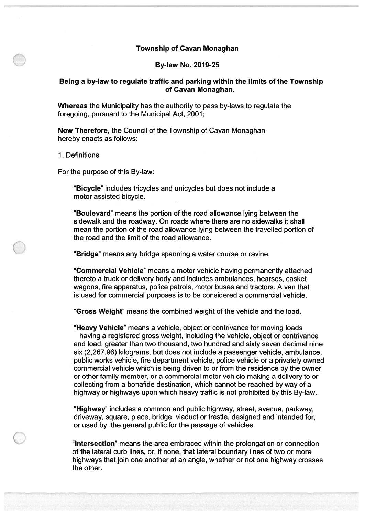#### Township of Cavan Monaghan

#### By-law No. 2019-25

#### Being <sup>a</sup> by-law to regulate traffic and parking within the limits of the Township of Cavan Monaghan.

Whereas the Municipality has the authority to pass by-laws to regulate the foregoing, pursuan<sup>t</sup> to the Municipal Act, 2001;

Now Therefore, the Council of the Township of Cavan Monaghan hereby enacts as follows:

1. Definitions

For the purpose of this By-law:

"Bicycle" includes tricycles and unicycles but does not include <sup>a</sup> motor assisted bicycle.

"Boulevard" means the portion of the road allowance lying between the sidewalk and the roadway. On roads where there are no sidewalks it shall mean the portion of the road allowance lying between the travelled portion of the road and the limit of the road allowance.

"Bridge" means any bridge spanning <sup>a</sup> water course or ravine.

"Commercial Vehicle" means <sup>a</sup> motor vehicle having permanently attached thereto <sup>a</sup> truck or delivery body and includes ambulances, hearses, casket wagons, fire apparatus, police patrols, motor buses and tractors. A van that is used for commercial purposes is to be considered <sup>a</sup> commercial vehicle.

"Gross Weight" means the combined weight of the vehicle and the load.

"Heavy Vehicle" means <sup>a</sup> vehicle, object or contrivance for moving loads having <sup>a</sup> registered gross weight, including the vehicle, object or contrivance and load, greater than two thousand, two hundred and sixty seven decimal nine six (2,267.96) kilograms, but does not include <sup>a</sup> passenger vehicle, ambulance, public works vehicle, fire department vehicle, police vehicle or <sup>a</sup> privately owned commercial vehicle which is being driven to or from the residence by the owner or other family member, or <sup>a</sup> commercial motor vehicle making <sup>a</sup> delivery to or collecting from <sup>a</sup> bonafide destination, which cannot be reached by way of <sup>a</sup> highway or highways upon which heavy traffic is not prohibited by this By-law.

"Highway" includes <sup>a</sup> common and public highway, street, avenue, parkway, driveway, square, place, bridge, viaduct or trestle, designed and intended for, or used by, the general public for the passage of vehicles.

"Intersection" means the area embraced within the prolongation or connection of the lateral curb lines, or, if none, that lateral boundary lines of two or more highways that join one another at an angle, whether or not one highway crosses the other.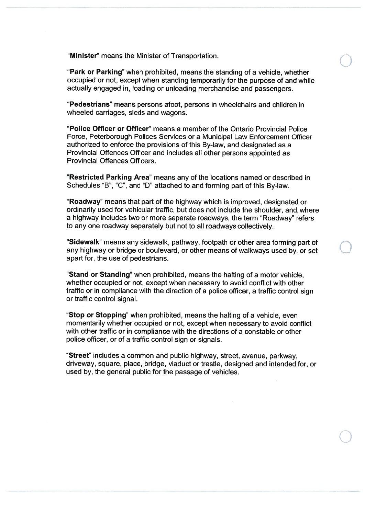"Minister" means the Minister of Transportation.

"Park or Parking" when prohibited, means the standing of a vehicle, whether occupied or not, excep<sup>t</sup> when standing temporarily for the purpose of and while actually engaged in, loading or unloading merchandise and passengers.

"Pedestrians" means persons afoot, persons in wheelchairs and children in wheeled carriages, sleds and wagons.

"Police Officer or Officer" means a member of the Ontario Provincial Police Force, Peterborough Polices Services or <sup>a</sup> Municipal Law Enforcement Officer authorized to enforce the provisions of this By-law, and designated as a Provincial Offences Officer and includes all other persons appointed as Provincial Offences Officers.

"Restricted Parking Area" means any of the locations named or described ir Schedules "B", "C", and "D" attached to and forming par<sup>t</sup> of this By-law.

"Roadway" means that par<sup>t</sup> of the highway which is improved, designated or ordinarily used for vehicular traffic, but does not include the shoulder, and, where a highway includes two or more separate roadways, the term "Roadway" refers to any one roadway separately but not to all roadways collectively.

"Sidewalk" means any sidewalk, pathway, footpath or other area forming par<sup>t</sup> of any highway or bridge or boulevard, or other means of walkways used by, or set apar<sup>t</sup> for, the use of pedestrians.

"Stand or Standing" when prohibited, means the halting of <sup>a</sup> motor vehicle, whether occupied or not, excep<sup>t</sup> when necessary to avoid conflict with other traffic or in compliance with the direction of <sup>a</sup> police officer, <sup>a</sup> traffic control sign or traffic control signal.

"Stop or Stopping" when prohibited, means the halting of <sup>a</sup> vehicle, even momentarily whether occupied or not, excep<sup>t</sup> when necessary to avoid conflict with other traffic or in compliance with the directions of a constable or other police officer, or of <sup>a</sup> traffic control sign or signals.

"Street" includes <sup>a</sup> common and public highway, street, avenue, parkway, driveway, square, place, bridge, viaduct or trestle, designed and intended for, or used by, the general public for the passage of vehicles.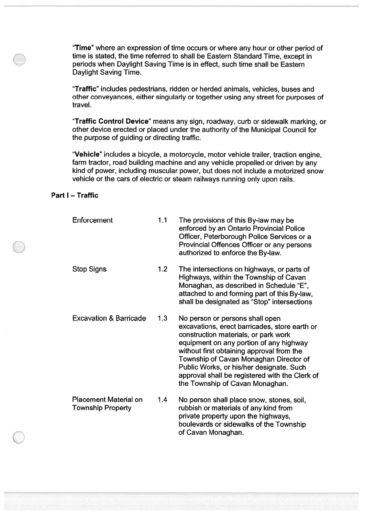"Time" where an expression of time occurs or where any hour or other period of time is stated, the time referred to shall be Eastern Standard Time, excep<sup>t</sup> in periods when Daylight Saving Time is in effect, such time shall be Eastern Daylight Saving Time.

"Traffic" includes pedestrians, ridden or herded animals, vehicles, buses and other conveyances, either singularly or together using any street for purposes of travel.

"Traffic Control Device" means any sign, roadway, curb or sidewalk marking, or other device erected or placed under the authority of the Municipal Council for the purpose of guiding or directing traffic.

"Vehicle" includes <sup>a</sup> bicycle, <sup>a</sup> motorcycle, motor vehicle trailer, traction engine, farm tractor, road building machine and any vehicle propelled or driven by any kind of power, including muscular power, but does not include <sup>a</sup> motorized snow vehicle or the cars of electric or steam railways running only upon rails.

## Part I — Traffic

| Enforcement                                              | 1.1 | The provisions of this By-law may be<br>enforced by an Ontario Provincial Police<br>Officer, Peterborough Police Services or a<br>Provincial Offences Officer or any persons<br>authorized to enforce the By-law.                                                                                                                                                                           |
|----------------------------------------------------------|-----|---------------------------------------------------------------------------------------------------------------------------------------------------------------------------------------------------------------------------------------------------------------------------------------------------------------------------------------------------------------------------------------------|
| <b>Stop Signs</b>                                        | 1.2 | The intersections on highways, or parts of<br>Highways, within the Township of Cavan<br>Monaghan, as described in Schedule "E",<br>attached to and forming part of this By-law,<br>shall be designated as "Stop" intersections                                                                                                                                                              |
| <b>Excavation &amp; Barricade</b>                        | 1.3 | No person or persons shall open<br>excavations, erect barricades, store earth or<br>construction materials, or park work<br>equipment on any portion of any highway<br>without first obtaining approval from the<br>Township of Cavan Monaghan Director of<br>Public Works, or his/her designate. Such<br>approval shall be registered with the Clerk of<br>the Township of Cavan Monaghan. |
| <b>Placement Material on</b><br><b>Township Property</b> | 1.4 | No person shall place snow, stones, soil,<br>rubbish or materials of any kind from<br>private property upon the highways,<br>boulevards or sidewalks of the Township<br>of Cavan Monaghan.                                                                                                                                                                                                  |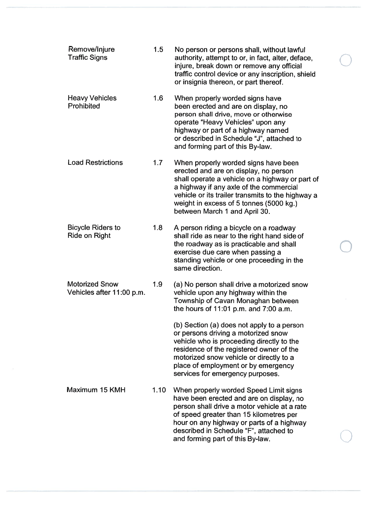| Remove/Injure<br><b>Traffic Signs</b>              | 1.5  | No person or persons shall, without lawful<br>authority, attempt to or, in fact, alter, deface,<br>injure, break down or remove any official<br>traffic control device or any inscription, shield<br>or insignia thereon, or part thereof.                                                                   |
|----------------------------------------------------|------|--------------------------------------------------------------------------------------------------------------------------------------------------------------------------------------------------------------------------------------------------------------------------------------------------------------|
| <b>Heavy Vehicles</b><br>Prohibited                | 1.6  | When properly worded signs have<br>been erected and are on display, no<br>person shall drive, move or otherwise<br>operate "Heavy Vehicles" upon any<br>highway or part of a highway named<br>or described in Schedule "J", attached to<br>and forming part of this By-law.                                  |
| <b>Load Restrictions</b>                           | 1.7  | When properly worded signs have been<br>erected and are on display, no person<br>shall operate a vehicle on a highway or part of<br>a highway if any axle of the commercial<br>vehicle or its trailer transmits to the highway a<br>weight in excess of 5 tonnes (5000 kg.)<br>between March 1 and April 30. |
| <b>Bicycle Riders to</b><br><b>Ride on Right</b>   | 1.8  | A person riding a bicycle on a roadway<br>shall ride as near to the right hand side of<br>the roadway as is practicable and shall<br>exercise due care when passing a<br>standing vehicle or one proceeding in the<br>same direction.                                                                        |
| <b>Motorized Snow</b><br>Vehicles after 11:00 p.m. | 1.9  | (a) No person shall drive a motorized snow<br>vehicle upon any highway within the<br>Township of Cavan Monaghan between<br>the hours of 11:01 p.m. and 7:00 a.m.                                                                                                                                             |
|                                                    |      | (b) Section (a) does not apply to a person<br>or persons driving a motorized snow<br>vehicle who is proceeding directly to the<br>residence of the registered owner of the<br>motorized snow vehicle or directly to a<br>place of employment or by emergency<br>services for emergency purposes.             |
| Maximum 15 KMH                                     | 1.10 | When properly worded Speed Limit signs<br>have been erected and are on display, no<br>person shall drive a motor vehicle at a rate<br>of speed greater than 15 kilometres per<br>hour on any highway or parts of a highway<br>described in Schedule "F", attached to<br>and forming part of this By-law.     |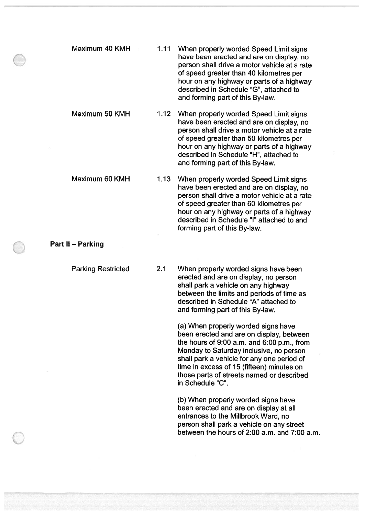| Maximum 40 KMH | 1.11     | When properly worded Speed Limit signs<br>have been erected and are on display, no<br>person shall drive a motor vehicle at a rate<br>of speed greater than 40 kilometres per<br>hour on any highway or parts of a highway<br>described in Schedule "G", attached to<br>and forming part of this By-law. |
|----------------|----------|----------------------------------------------------------------------------------------------------------------------------------------------------------------------------------------------------------------------------------------------------------------------------------------------------------|
| Maximum 50 KMH | $1.12 -$ | When properly worded Speed Limit signs<br>have been erected and are on display, no<br>person shall drive a motor vehicle at a rate<br>of speed greater than 50 kilometres per<br>hour on any highway or parts of a highway<br>described in Schedule "H", attached to<br>and forming part of this By-law. |
| Maximum 60 KMH | 1.13     | When properly worded Speed Limit signs<br>have been erected and are on display, no<br>person shall drive a motor vehicle at a rate<br>of speed greater than 60 kilometres per<br>hour on any highway or parts of a highway<br>described in Schedule "I" attached to and<br>forming part of this By-law.  |
| $II - Parking$ |          |                                                                                                                                                                                                                                                                                                          |

**Part** 

Parking Restricted 2.1 When properly worded signs have been erected and are on display, no person shall park <sup>a</sup> vehicle on any highway between the limits and periods of time as described in Schedule "A" attached to and forming par<sup>t</sup> of this By-law.

> (a) When properly worded signs have been erected and are on display, between the hours of  $9:00$  a.m. and  $6:00$  p.m., from Monday to Saturday inclusive, no person shall park <sup>a</sup> vehicle for any one period of time in excess of 15 (fifteen) minutes on those parts of streets named or described in Schedule "C".

(b) When properly worded signs have been erected and are on display at all entrances to the Millbrook Ward, no person shall park <sup>a</sup> vehicle on any street between the hours of 2:00 a.m. and 7:00 am.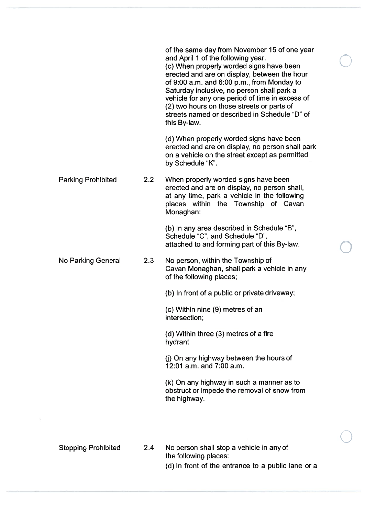|                            |     | of the same day from November 15 of one year<br>and April 1 of the following year.<br>(c) When properly worded signs have been<br>erected and are on display, between the hour<br>of 9:00 a.m. and 6:00 p.m., from Monday to<br>Saturday inclusive, no person shall park a<br>vehicle for any one period of time in excess of<br>(2) two hours on those streets or parts of<br>streets named or described in Schedule "D" of<br>this By-law. |
|----------------------------|-----|----------------------------------------------------------------------------------------------------------------------------------------------------------------------------------------------------------------------------------------------------------------------------------------------------------------------------------------------------------------------------------------------------------------------------------------------|
|                            |     | (d) When properly worded signs have been<br>erected and are on display, no person shall park<br>on a vehicle on the street except as permitted<br>by Schedule "K".                                                                                                                                                                                                                                                                           |
| <b>Parking Prohibited</b>  | 2.2 | When properly worded signs have been<br>erected and are on display, no person shall,<br>at any time, park a vehicle in the following<br>places within the Township of Cavan<br>Monaghan:                                                                                                                                                                                                                                                     |
|                            |     | (b) In any area described in Schedule "B",<br>Schedule "C", and Schedule "D",<br>attached to and forming part of this By-law.                                                                                                                                                                                                                                                                                                                |
| <b>No Parking General</b>  | 2.3 | No person, within the Township of<br>Cavan Monaghan, shall park a vehicle in any<br>of the following places;                                                                                                                                                                                                                                                                                                                                 |
|                            |     | (b) In front of a public or private driveway;                                                                                                                                                                                                                                                                                                                                                                                                |
|                            |     | (c) Within nine (9) metres of an<br>intersection;                                                                                                                                                                                                                                                                                                                                                                                            |
|                            |     | (d) Within three (3) metres of a fire<br>hydrant                                                                                                                                                                                                                                                                                                                                                                                             |
|                            |     | (j) On any highway between the hours of<br>12:01 a.m. and 7:00 a.m.                                                                                                                                                                                                                                                                                                                                                                          |
|                            |     | (k) On any highway in such a manner as to<br>obstruct or impede the removal of snow from<br>the highway.                                                                                                                                                                                                                                                                                                                                     |
| <b>Stopping Prohibited</b> | 2.4 | No person shall stop a vehicle in any of<br>the following places:                                                                                                                                                                                                                                                                                                                                                                            |

 $\overline{u}$ 

(d) In front of the entrance to <sup>a</sup> public lane or <sup>a</sup>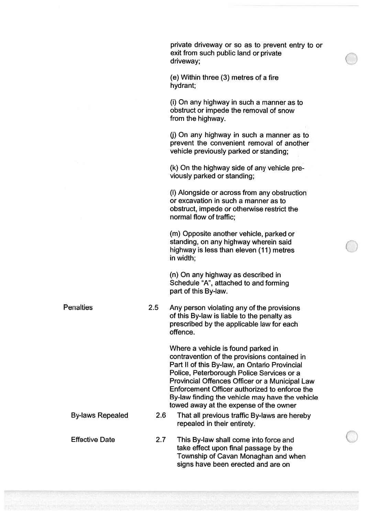private driveway or so as to preven<sup>t</sup> entry to or exit from such public land or private driveway;

(e) Within three (3) metres of <sup>a</sup> fire hydrant;

(i) On any highway in such <sup>a</sup> manner as to obstruct or impede the removal of snow from the highway.

(j) On any highway in such <sup>a</sup> manner as to preven<sup>t</sup> the convenient removal of another vehicle previously parked or standing;

(k) On the highway side of any vehicle pre viously parked or standing;

(I) Alongside or across from any obstruction or excavation in such <sup>a</sup> manner as to obstruct, impede or otherwise restrict the normal flow of traffic;

(m) Opposite another vehicle, parked or standing, on any highway wherein said highway is less than eleven (11) metres in width;

(n) On any highway as described in Schedule "A', attached to and forming par<sup>t</sup> of this By-law.

Penalties 2.5 Any person violating any of the provisions of this By-law is liable to the penalty as prescribed by the applicable law for each offence.

> Where <sup>a</sup> vehicle is found parked in contravention of the provisions contained in Part II of this By-law, an Ontario Provincial Police, Peterborough Police Services or <sup>a</sup> Provincial Offences Officer or <sup>a</sup> Municipal Law Enforcement Officer authorized to enforce the By-law finding the vehicle may have the vehicle towed away at the expense of the owner

By-laws Repealed 2.6 That all previous traffic By-laws are hereby repealed in their entirety.

Effective Date 2.7 This By-law shall come into force and take effect upon final passage by the Township of Cavan Monaghan and when signs have been erected and are on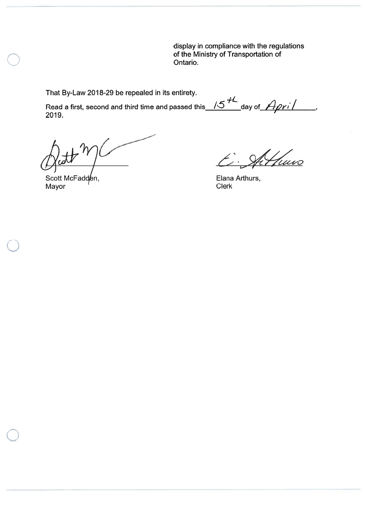display in compliance with the regulations of the Ministry of Transportation of Ontario.

That By-Law 2018-29 be repealed in its entirety.

Read a first, second and third time and passed this  $\sqrt{5}$   $\sqrt{5}$  day of  $\sqrt{4\rho}$ r $\sqrt{2}$ 2019.

 $H^{\gamma}$ 

Scott McFadden, Mayor Clerk

Althurs  $\mathcal{L}$ 

Elana Arthurs,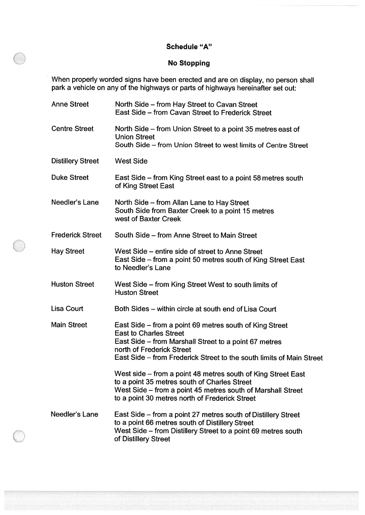## Schedule "A"

# No Stopping

When properly worded signs have been erected and are on display, no person shall park <sup>a</sup> vehicle on any of the highways or parts of highways hereinafter set out:

| <b>Anne Street</b>       | North Side – from Hay Street to Cavan Street<br>East Side – from Cavan Street to Frederick Street                                                                                                                                                      |
|--------------------------|--------------------------------------------------------------------------------------------------------------------------------------------------------------------------------------------------------------------------------------------------------|
| <b>Centre Street</b>     | North Side – from Union Street to a point 35 metres east of<br><b>Union Street</b><br>South Side - from Union Street to west limits of Centre Street                                                                                                   |
| <b>Distillery Street</b> | <b>West Side</b>                                                                                                                                                                                                                                       |
| <b>Duke Street</b>       | East Side – from King Street east to a point 58 metres south<br>of King Street East                                                                                                                                                                    |
| Needler's Lane           | North Side – from Allan Lane to Hay Street<br>South Side from Baxter Creek to a point 15 metres<br>west of Baxter Creek                                                                                                                                |
| <b>Frederick Street</b>  | South Side – from Anne Street to Main Street                                                                                                                                                                                                           |
| <b>Hay Street</b>        | West Side – entire side of street to Anne Street<br>East Side – from a point 50 metres south of King Street East<br>to Needler's Lane                                                                                                                  |
| <b>Huston Street</b>     | West Side – from King Street West to south limits of<br><b>Huston Street</b>                                                                                                                                                                           |
| <b>Lisa Court</b>        | Both Sides – within circle at south end of Lisa Court                                                                                                                                                                                                  |
| <b>Main Street</b>       | East Side – from a point 69 metres south of King Street<br><b>East to Charles Street</b><br>East Side – from Marshall Street to a point 67 metres<br>north of Frederick Street<br>East Side – from Frederick Street to the south limits of Main Street |
|                          | West side – from a point 48 metres south of King Street East<br>to a point 35 metres south of Charles Street<br>West Side – from a point 45 metres south of Marshall Street<br>to a point 30 metres north of Frederick Street                          |
| Needler's Lane           | East Side – from a point 27 metres south of Distillery Street<br>to a point 66 metres south of Distillery Street<br>West Side – from Distillery Street to a point 69 metres south<br>of Distillery Street                                              |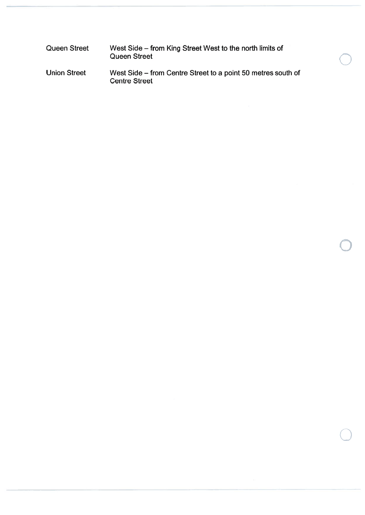| Queen Street        | West Side – from King Street West to the north limits of<br><b>Queen Street</b>      |
|---------------------|--------------------------------------------------------------------------------------|
| <b>Union Street</b> | West Side – from Centre Street to a point 50 metres south of<br><b>Centre Street</b> |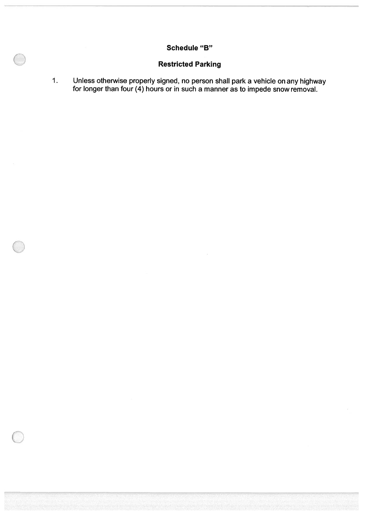# Schedule "B"

# Restricted Parking

1. Unless otherwise properly signed, no person shall park <sup>a</sup> vehicle on any highway for longer than four (4) hours or in such <sup>a</sup> manner as to impede snow removal.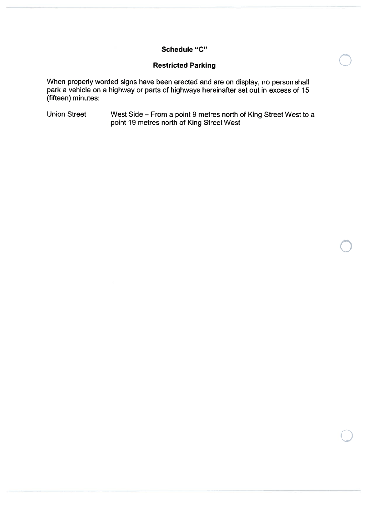## Schedule "C"

## Restricted Parking

When properly worded signs have been erected and are on display, no person shall park <sup>a</sup> vehicle on <sup>a</sup> highway or parts of highways hereinafter set out in excess of 15 (fifteen) minutes:

**Union Street** In Street  $\hskip1cm$  West Side – From a point 9 metres north of King Street West to a point 19 metres north of King Street West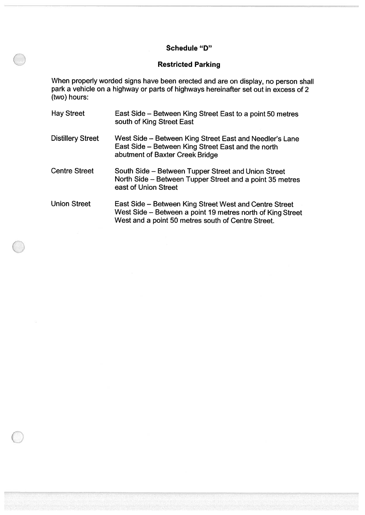## Schedule "D"

## Restricted Parking

When properly worded signs have been erected and are on display, no person shall park <sup>a</sup> vehicle on <sup>a</sup> highway or parts of highways hereinafter set out in excess of 2 (two) hours:

| <b>Hay Street</b>        | East Side – Between King Street East to a point 50 metres<br>south of King Street East                                                                                     |
|--------------------------|----------------------------------------------------------------------------------------------------------------------------------------------------------------------------|
| <b>Distillery Street</b> | West Side - Between King Street East and Needler's Lane<br>East Side – Between King Street East and the north<br>abutment of Baxter Creek Bridge                           |
| <b>Centre Street</b>     | South Side – Between Tupper Street and Union Street<br>North Side – Between Tupper Street and a point 35 metres<br>east of Union Street                                    |
| <b>Union Street</b>      | East Side – Between King Street West and Centre Street<br>West Side - Between a point 19 metres north of King Street<br>West and a point 50 metres south of Centre Street. |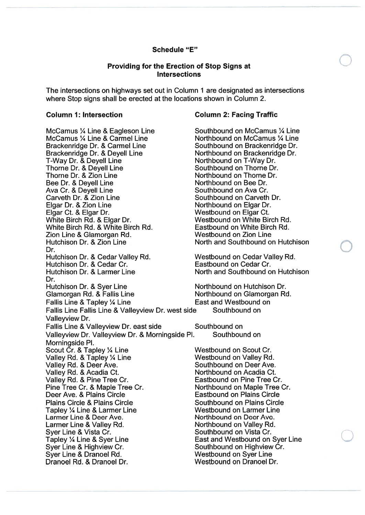## Schedule "E"

#### Providing for the Erection of Stop Signs at Intersections

The intersections on highways set out in Column 1 are designated as intersections where Stop signs shall be erected at the locations shown in Column 2.

#### Column 1: Intersection

McCamus ¼ Line & Eagleson Line McCamus ¼ Line & Carmel Line Brackenridge Dr. & Carmel Line Brackenridge Dr. & Deyell Line T-Way Dr. & Deyell Line Thorne Dr. & Deyell Line Thorne Dr. & Zion Line Bee Dr. & Deyell Line Ava Cr. & Deyell Line Carveth Dr. & Zion Line Elgar Dr. & Zion Line Elgar Ct. & Elgar Dr. White Birch Rd. & Elgar Dr. White Birch Rd. & White Birch Rd. Zion Line & Glamorgan Rd. Hutchison Dr. & Zion Line Dr.Hutch ison Dr. & Cedar Valley Rd. Hutchison Dr. & Cedar Cr. Hutchison Dr. & Larmer Line Dr.Hutchison Dr. &Glamorgan Rd. & Fallis Line Fallis Line &Fallis Line Fallis Line & Valleyview Dr. west side Southbound on Valleyview Dr. Fallis Line & Valleyview Dr. east side Valleyview Dr. Valleyview Dr. & Morningside P1. Morningside P1. Scout Cr. & Tapley ¼ Line Valley Rd. & Tapley ¼ Line Valley Rd. & Deer Ave. Valley Rd. & Acadia Ct. Valley Rd. & Pine Tree Cr. Pine Tree Cr. & Maple Tree Cr. Deer Ave. & Plains Circle Plains Circle & Plains Circle Tapley ¼ Line & Larmer Line Larmer Line & Deer Ave. Larmer Line & Valley Rd. Syer Line & Vista Cr. Tapley ¼ Line & Syer Line Syer Line & Highview Cr. Syer Line & Dranoel Rd. Dranoel Rd. & Dranoel Dr.

#### Column 2: Facing Traffic

Southbound on McCamus ¼ Line Northbound on McCamus ¼ Line Southbound on Brackenridge Dr. Northbound on Brackenridge Dr. Northbound on T-Way Dr. Southbound on Thorne Dr. Northbound on Thorne Dr. Northbound on Bee Dr. Southbound on Ava Cr. Southbound on Carveth Dr. Northbound on Elgar Dr. Westbound on Elgar Ct. Westbound on White Birch Rd. Eastbound on White Birch Rd. Westbound on Zion Line North and Southbound on Hutchison

Westbound on Cedar Valley Rd. Eastbound on Cedar Cr. North and Southbound on Hutchison

Northbound on Hutchison Dr.<br>Northbound on Glamorgan Rd. East and Westbound on

Southbound on Southbound on

Westbound on Scout Cr. Westbound on Valley Rd. Southbound on Deer Ave. Northbound on Acadia Ct. Eastbound on Pine Tree Cr. Northbound on Maple Tree Cr. Eastbound on Plains Circle Southbound on Plains Circle Westbound on Larmer Line Northbound on Deer Ave. Northbound on Valley Rd. Southbound on Vista Cr. East and Westbound on Syer Line Southbound on Highview Cr. Westbound on Syer Line Westbound on Dranoel Dr.

 $\bigcirc$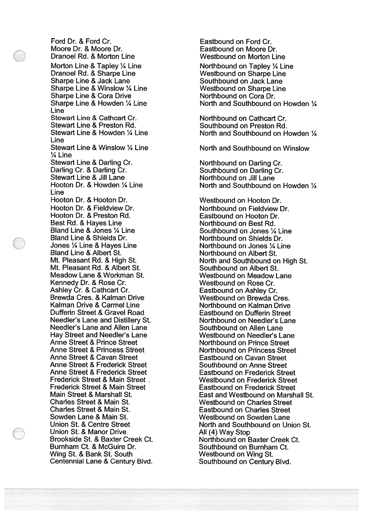Ford Dr. & Ford Cr. Moore Dr. & Moore Dr. Dranoel Rd. & Morton Line Morton Line & Tapley ¼ Line Dranoel Rd. & Sharpe Line Sharpe Line & Jack Lane Sharpe Line & Winslow 1/4 Line Sharpe Line & Cora Drive Sharpe Line & Howden ¼ Line Line Stewart Line & Cathcart Cr. Stewart Line & Preston Rd. Stewart Line & Howden ¼ Line Line Stewart Line & Winslow ¼ Line ¼ Line Stewart Line & Darling Cr. Darling Cr. & Darling Cr. Stewart Line & Jill Lane Hooton Dr. & Howden ¼ Line Line Hooton Dr. & Hooton Dr. Hooton Dr. & Fieldview Dr. Hooton Dr. & Preston Rd. Best Rd. & Hayes Line Bland Line & Jones ¼ Line Bland Line & Shields Dr. Jones ¼ Line & Hayes Line Bland Line & Albert St. Mt. Pleasant Rd. & High St. Mt. Pleasant Rd. & Albert St. Meadow Lane & Workman St. Kennedy Dr. & Rose Cr. Ashley Cr. & Cathcart Cr. Brewda Cres. & Kalman Drive Kalman Drive & Carmel Line Dufferin Street & Gravel Road Needler's Lane and Distillery St. Needler's Lane and Allen Lane Hay Street and Needler's Lane Anne Street & Prince Street Anne Street & Princess Street Anne Street & Cavan Street Anne Street & Frederick Street Anne Street & Frederick Street Frederick Street & Main Street Frederick Street & Main Street Main Street & Marshall St. Charles Street & Main St. Charles Street & Main St. Sowden Lane & Main St. Union St. & Centre Street Union St. & Manor Drive Brookside St. & Baxter Creek Ct. Burnham Ct. & McGuire Dr. Wing St. & Bank St. South Centennial Lane & Century Blvd.

Eastbound on Moore Dr. Westbound on Morton Line Northbound on Tapley ¼ Line Westbound on Sharpe Line Southbound on Jack Lane Westbound on Sharpe Line Northbound on Cora Dr. North and Southbound on Howden ¼ Northbound on Cathcart Cr. Southbound on Preston Rd. North and Southbound on Howden ¼ North and Southbound on Winslow Northbound on Darling Cr. Southbound on Darling Cr. Northbound on Jill Lane North and Southbound on Howden ¼ Westbound on Hooton Dr. Northbound on Fieldview Dr. Eastbound on Hooton Dr. Northbound on Best Rd. Southbound on Jones ¼ Line Northbound on Shields Dr. Northbound on Jones ¼ Line Northbound on Albert St. North and Southbound on High St. Southbound on Albert St. Westbound on Meadow Lane Westbound on Rose Cr. Eastbound on Ashley Cr. Westbound on Brewda Ores. Northbound on Kalman Drive Eastbound on Dufferin Street Northbound on Needler's Lane Southbound on Allen Lane Westbound on Needler's Lane Northbound on Prince Street Northbound on Princess Street Eastbound on Cavan Street Southbound on Anne Street Eastbound on Frederick Street Westbound on Frederick Street Eastbound on Frederick Street East and Westbound on Marshall St. Westbound on Charles Street Eastbound on Charles Street Westbound on Sowden Lane North and Southbound on Union St. All (4) Way Stop Northbound on Baxter Creek Ct. Southbound on Burnham Ct. Westbound on Wing St. Southbound on Century Blvd.

Eastbound on Ford Cr.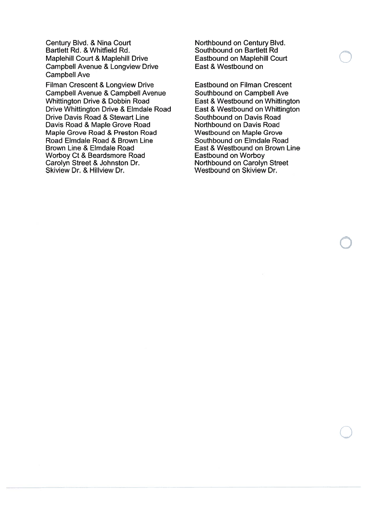Century Blvd. & Nina Court Bartlett Rd. & Whiffield Rd. Maplehill Court & Maplehill Drive Campbell Avenue & Longview Drive Campbell Ave

Filman Crescent & Longview Drive Campbell Avenue & Campbell Avenue Whittington Drive & Dobbin Road Drive Whittington Drive & Elmdale Road Drive Davis Road & Stewart Line Davis Road & Maple Grove Road Maple Grove Road & Preston Road Road Elmdale Road & Brown Line Brown Line & Elmdale Road Worboy Ct & Beardsmore Road Carolyn Street & Johnston Dr. Skiview Dr. & Hillview Dr.

Northbound on Century Blvd. Southbound on Bartlett Rd Eastbound on Maplehill Court East & Westbound on

Eastbound on Filman Crescent Southbound on Campbell Ave East & Westbound on Whittington East & Westbound on Whittington Southbound on Davis Road Northbound on Davis Road Westbound on Maple Grove Southbound on Elmdale Road East & Westbound on Brown Line Eastbound on Worboy Northbound on Carolyn Street Westbound on Skiview Dr.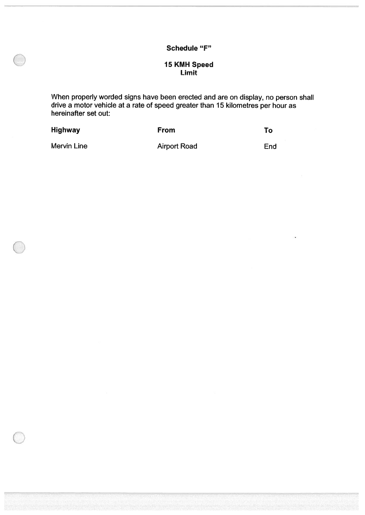# Schedule "F"

## 15 KMH Speed Limit

When properly worded signs have been erected and are on display, no person shall drive a motor vehicle at a rate of speed greater than 15 kilometres per hour as hereinafter set out:

| <b>Highway</b> | <b>From</b>         | Τo  |
|----------------|---------------------|-----|
| Mervin Line    | <b>Airport Road</b> | End |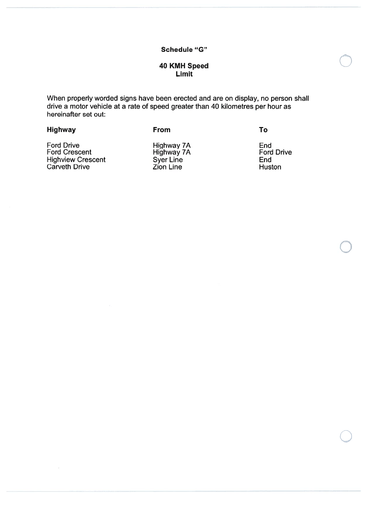#### Schedule "G"

## 40 KMH Speed Limit

When properly worded signs have been erected and are on display, no person shall drive a motor vehicle at <sup>a</sup> rate of speed greater than 40 kilometres per hour as hereinafter set out:

| Highway                     | <b>From</b>              | Т٥                       |
|-----------------------------|--------------------------|--------------------------|
| Ford Drive<br>Ford Crescent | Highway 7A<br>Highway 7A | End<br><b>Ford Drive</b> |
| <b>Highview Crescent</b>    | <b>Syer Line</b>         | End                      |
| Carveth Drive               | <b>Zion Line</b>         | Huston                   |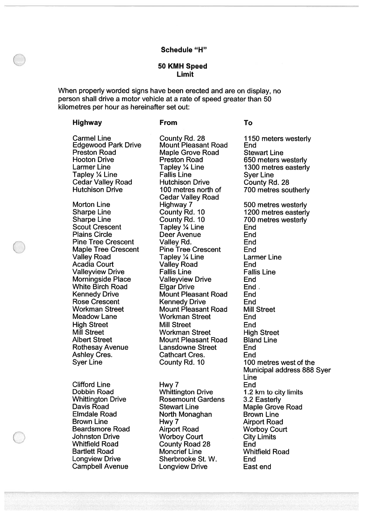#### Schedule "H"

#### 50 KMH Speed Limit

When properly worded signs have been erected and are on display, no person shall drive <sup>a</sup> motor vehicle at <sup>a</sup> rate of speed greater than 50 kilometres per hour as hereinafter set out:

#### Highway From To

Carmel Line County Rd. 28 1150 meters westerly<br>
Edgewood Park Drive Mount Pleasant Road End<br>
Preston Road Maple Grove Road Stewart Line Hooton Drive **Preston Road** 650 meters westerly<br>
Larmer Line **France Community Community 1300** metres easterly **Larmer Line** Tapley 1/4 Line Cedar Valley Road Hutchison Drive<br>
Hutchison Drive 100 metres north of

Scout Crescent<br>Plains Circle Valley Road Tapley 1/4 Line<br>Acadia Court Calley Road

Clifford Line Hwy 7 End Campbell Avenue Longview Drive East end

Maple Grove Road Stewart Line Fallis Line Syer Line<br>Hutchison Drive County Rd. 28 Cedar Valley Road<br>Highway 7 Morton Line **Highway 7** 500 metres westerly<br>
Sharpe Line County Rd. 10 500 metres easterly Sharpe Line County Rd. 10 1200 metres easterly<br>
Sharpe Line County Rd. 10 700 metres westerly Tapley 1/4 Line **End** Deer Avenue End Pine Tree Crescent Valley Rd. Crescent End<br>
Maple Tree Crescent Pine Tree Crescent End Maple Tree Crescent Pine Tree Crescent End Acadia Court Valley Road End Valleyview Drive Fallis Line Fallis Line Morningside Place Valleyview Drive End White Birch Road Elgar Drive End. Kennedy Drive Mount Pleasant Road End Rose Crescent **Kennedy Drive** End Workman Street Mount Pleasant Road Mill Street Meadow Lane Workman Street End High Street **Mill Street** End<br>
Mill Street **End**<br>
Workman Street High Mill Street **Mill Street** Workman Street High Street<br>Albert Street **Mount Pleasant Road** Bland Line Mount Pleasant Road Bland Line Rothesay Avenue Lansdowne Street End Ashley Cres. Cathcart Cres. End

Dobbin Road Whittington Drive 1.2 km to city limits Whittington Drive **Rosemount Gardens** 3.2 Easterly<br>
Davis Road **Carlo Stewart Line** Maple Grove Davis Road Stewart Line Maple Grove Road<br>
Elmdale Road Stewart Monaghan Brown Line North Monaghan Brown Line Brown Line **Hwy 7** Airport Road Beardsmore Road Airport Road Worboy Court<br>
Johnston Drive Worboy Court City Limits Johnston Drive **Worboy Court** City Limits<br>
Whitfield Road County Road 28 End Whitfield Road **County Road 28** End<br>Bartlett Road **Moncrief Line** Whit **Moncrief Line Whitfield Road** Longview Drive Sherbrooke St. W. End

1300 metres easterly 700 metres southerly 700 metres westerly **Larmer Line** Syer Line County Rd. 10 100 metres west of the Municipal address 888 Syer Line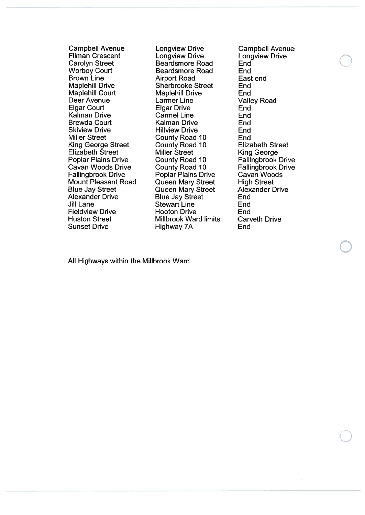Filman Crescent Carolyn Street Beardsmore Road End<br>
Worboy Court Beardsmore Road End Brown LineBrown Line **Airport Road**<br>
Maplehill Drive **East Sherbrooke** Maplehill Drive Sherbrooke Street End<br>
Maplehill Court Maplehill Drive End Deer Avenue**Elgar Court** Kalman DriveBrewda CourtSkiview Drive Hillview**Miller Street** King George Street Elizabeth StreetPoplar Plains Drive County Road 10<br>Cavan Woods Drive County Road 10 Cavan WoodsCavan Woods Drive County Road 10 Fallingbrook Drive<br>
Fallingbrook Drive Poplar Plains Drive Cavan Woods Mount Pleasant Road **Blue Jay Street** Alexander DriveJill Lane**Fieldview Drive Huston Street**  Street Millbrook WardSunset Drive

Campbell Avenue Longview Drive Campbell Avenue<br>
Filman Crescent Longview Drive Longview Drive **Longview Drive Long**<br>Beardsmore Road End **Beardsmore Road End<br>Airport Road East end** Maplehill Drive **End**  Larmer LineLarmer Line Valley Road<br>Elgar Drive End Carmel Line Kalman Drive EndHillview Drive **End** County Road 10 End<br>
County Road 10 Elizabeth Street Miller Street King George<br>
County Road 10 Fallingbrook Drive Poplar Plains Drive Queen Mary Street High Street<br>
Queen Mary Street Alexander Drive Queen Mary Street Alex<br>Blue Jav Street End e Blue Jay Street End Stewart LineHooton Drive **End** Highway 7A End

 End End<sup>r</sup>d limits Carveth Drive

Alt Highways within the Millbrook Ward.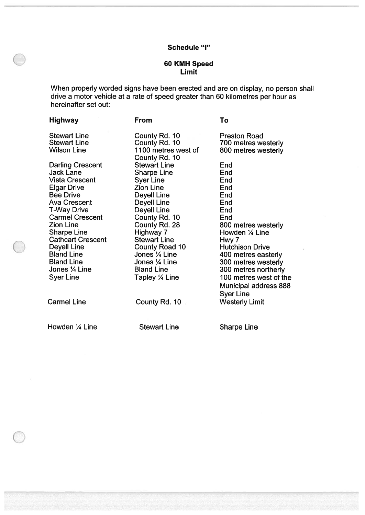## Schedule "I"

## 60 KMH Speed Limit

When properly worded signs have been erected and are on display, no person shall drive a motor vehicle at a rate of speed greater than 60 kilometres per hour as hereinafter set out:

| Highway                  | <b>From</b>           | To                     |
|--------------------------|-----------------------|------------------------|
| <b>Stewart Line</b>      | County Rd. 10         | <b>Preston Road</b>    |
| <b>Stewart Line</b>      | County Rd. 10         | 700 metres westerly    |
| <b>Wilson Line</b>       | 1100 metres west of   | 800 metres westerly    |
|                          | County Rd. 10         |                        |
| <b>Darling Crescent</b>  | <b>Stewart Line</b>   | End                    |
| Jack Lane                | <b>Sharpe Line</b>    | End                    |
| <b>Vista Crescent</b>    | <b>Syer Line</b>      | End                    |
| <b>Elgar Drive</b>       | <b>Zion Line</b>      | End                    |
| <b>Bee Drive</b>         | <b>Deyell Line</b>    | End                    |
| <b>Ava Crescent</b>      | <b>Deyell Line</b>    | End                    |
| <b>T-Way Drive</b>       | <b>Deyell Line</b>    | End                    |
| <b>Carmel Crescent</b>   | County Rd. 10         | End                    |
| <b>Zion Line</b>         | County Rd. 28         | 800 metres westerly    |
| <b>Sharpe Line</b>       | Highway 7             | Howden 1/4 Line        |
| <b>Cathcart Crescent</b> | <b>Stewart Line</b>   | Hwy 7                  |
| <b>Deyell Line</b>       | <b>County Road 10</b> | <b>Hutchison Drive</b> |
| <b>Bland Line</b>        | Jones 1/4 Line        | 400 metres easterly    |
| <b>Bland Line</b>        | Jones 1/4 Line        | 300 metres westerly    |
| Jones 1/4 Line           | <b>Bland Line</b>     | 300 metres northerly   |
| Syer Line                | Tapley 1/4 Line       | 100 metres west of the |
|                          |                       | Municipal address 888  |
|                          |                       | <b>Syer Line</b>       |
| <b>Carmel Line</b>       | County Rd. 10         | <b>Westerly Limit</b>  |
|                          |                       |                        |
| Howden 1/4 Line          | <b>Stewart Line</b>   | <b>Sharpe Line</b>     |
|                          |                       |                        |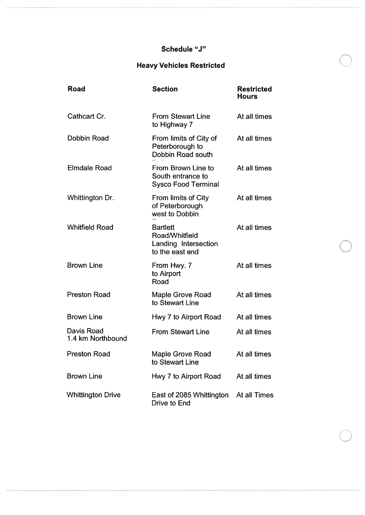## Schedule "J"

# Heavy Vehicles Restricted

| Road                            | <b>Section</b>                                                               | <b>Restricted</b><br><b>Hours</b> |
|---------------------------------|------------------------------------------------------------------------------|-----------------------------------|
| Cathcart Cr.                    | <b>From Stewart Line</b><br>to Highway 7                                     | At all times                      |
| Dobbin Road                     | From limits of City of<br>Peterborough to<br>Dobbin Road south               | At all times                      |
| <b>Elmdale Road</b>             | From Brown Line to<br>South entrance to<br><b>Sysco Food Terminal</b>        | At all times                      |
| Whittington Dr.                 | From limits of City<br>of Peterborough<br>west to Dobbin                     | At all times                      |
| <b>Whitfield Road</b>           | <b>Bartlett</b><br>Road/Whitfield<br>Landing Intersection<br>to the east end | At all times                      |
| <b>Brown Line</b>               | From Hwy. 7<br>to Airport<br>Road                                            | At all times                      |
| <b>Preston Road</b>             | Maple Grove Road<br>to Stewart Line                                          | At all times                      |
| <b>Brown Line</b>               | Hwy 7 to Airport Road                                                        | At all times                      |
| Davis Road<br>1.4 km Northbound | <b>From Stewart Line</b>                                                     | At all times                      |
| <b>Preston Road</b>             | Maple Grove Road<br>to Stewart Line                                          | At all times                      |
| <b>Brown Line</b>               | Hwy 7 to Airport Road                                                        | At all times                      |
| <b>Whittington Drive</b>        | East of 2085 Whittington<br>Drive to End                                     | At all Times                      |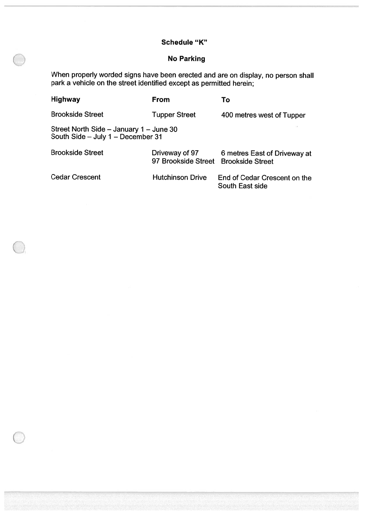# Schedule "K"

# No Parking

When properly worded signs have been erected and are on display, no person shall park <sup>a</sup> vehicle on the street identified excep<sup>t</sup> as permitted herein;

| <b>Highway</b>                                                               | From                                  | To                                                      |
|------------------------------------------------------------------------------|---------------------------------------|---------------------------------------------------------|
| <b>Brookside Street</b>                                                      | <b>Tupper Street</b>                  | 400 metres west of Tupper                               |
| Street North Side - January 1 - June 30<br>South Side - July 1 - December 31 |                                       |                                                         |
| <b>Brookside Street</b>                                                      | Driveway of 97<br>97 Brookside Street | 6 metres East of Driveway at<br><b>Brookside Street</b> |
| <b>Cedar Crescent</b>                                                        | <b>Hutchinson Drive</b>               | End of Cedar Crescent on the<br>South East side         |